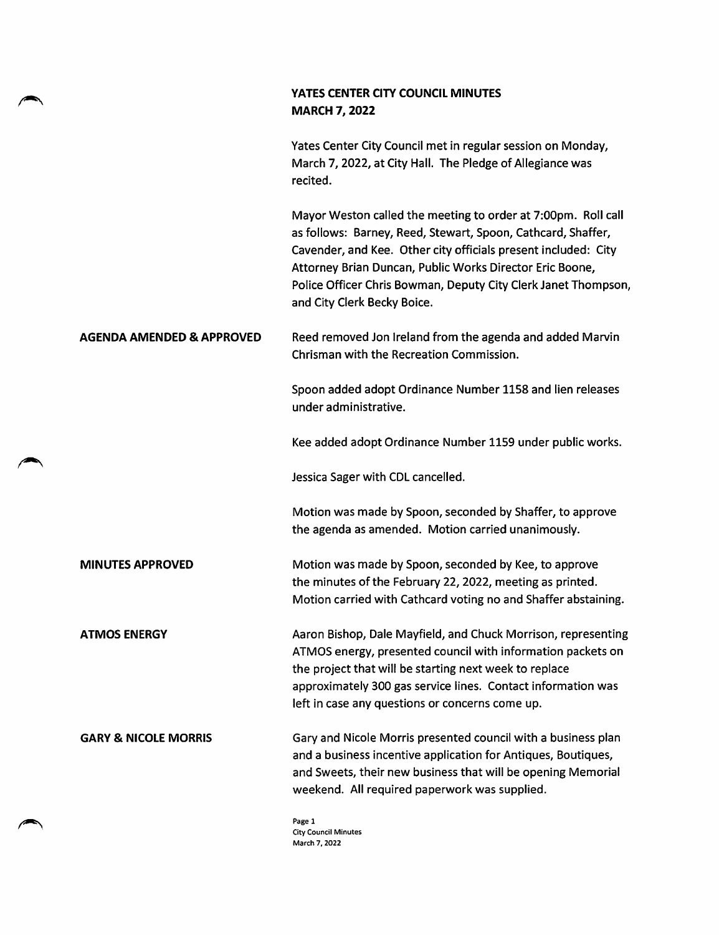## YATES CENTER CITY COUNCIL MINUTES **MARCH 7, 2022**

Yates Center City Council met in regular session on Monday, March 7,2022, at City Hall. The Pledge of Allegiance was recited.

Mayor Weston called the meeting to order at 7:00pm. Roll call as follows: Barney, Reed, Stewart, Spoon, Cathcard, Shaffer, Cavender, and Kee. Other city officials present included: City Attorney Brian Duncan, Public Works Director Eric Boone, Police Officer Chris Bowman, Deputy City Clerk Janet Thompson, and City Clerk Becky Boice.

## AGENDA AMENDED & APPROVED Reed removed Jon Ireland from the agenda and added Marvin Chrisman with the Recreation Commission.

Spoon added adopt Ordinance Number 1158 and lien releases under administrative.

Kee added adopt Ordinance Number 1159 under public works.

Jessica Sager with CDL cancelled.

Motion was made by Spoon, seconded by Shaffer, to approve the agenda as amended. Motion carried unanimously.

MINUTES APPROVED Motion was made by Spoon, seconded by Kee, to approve the minutes of the February 22, 2022, meeting as printed. Motion carried with Cathcard voting no and Shaffer abstaining.

ATMOS ENERGY **All Action Bishop, Dale Mayfield, and Chuck Morrison, representing** ATMOS energy, presented council with information packets on the project that will be starting next week to replace approximately 300 gas service lines. Contact information was left in case any questions or concerns come up.

GARY & NICOLE MORRIS Gary and Nicole Morris presented council with a business plan and a business incentive application for Antiques, Boutiques, and Sweets, their new business that will be opening Memorial weekend. All required paperwork was supplied.

> Page 1 City Council Minutes March 7, 2022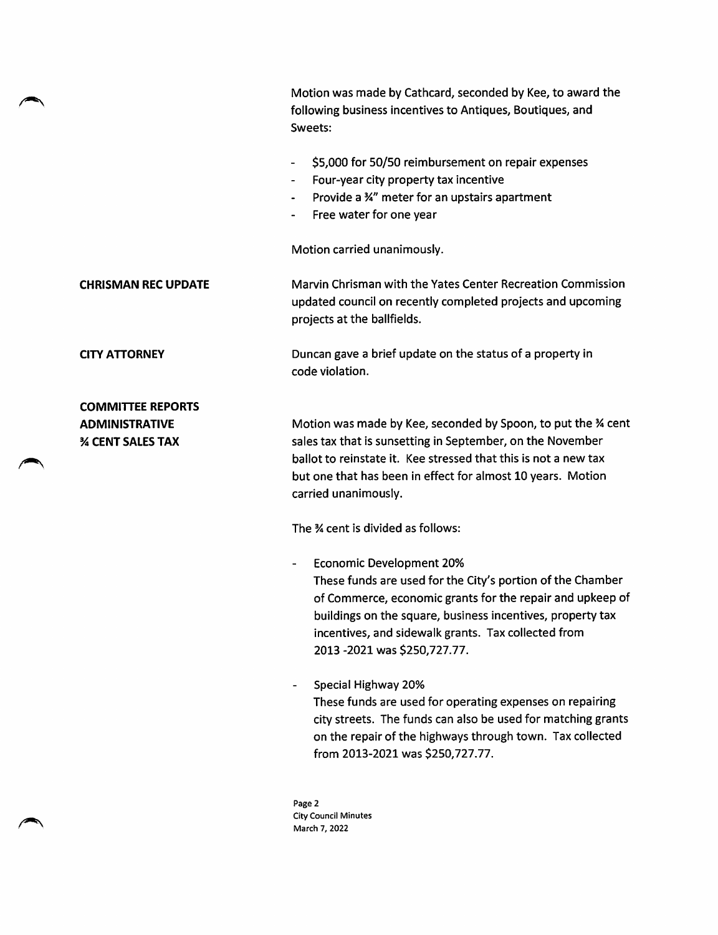Motion was made by Cathcard, seconded by Kee, to award the following business incentives to Antiques, Boutiques, and Sweets:

- \$5,000 for 50/50 reimbursement on repair expenses
- Four-year city property tax incentive
- Provide a 34" meter for an upstairs apartment
- Free water for one year

Motion carried unanimously.

CHRISMAN REC UPDATE

Marvin Chrisman with the Yates Center Recreation Commission updated council on recently completed projects and upcoming projects at the ballfields.

Duncan gave a brief update on the status of a property in code violation.

COMMITTEE REPORTS ADMINISTRATIVE **% CENT SALES TAX** 

CITY ATTORNEY

Motion was made by Kee, seconded by Spoon, to put the % cent sales tax that is sunsetting in September, on the November ballot to reinstate it. Kee stressed that this is not a new tax but one that has been in effect for almost 10 years. Motion carried unanimously.

The % cent is divided as follows:

- Economic Development 20% These funds are used for the City's portion of the Chamber of Commerce, economic grants for the repair and upkeep of buildings on the square, business incentives, property tax incentives, and sidewalk grants. Tax collected from 2013 -2021 was \$250,727.77.
- Special Highway 20% These funds are used for operating expenses on repairing city streets. The funds can also be used for matching grants on the repair of the highways through town. Tax collected from 2013-2021 was \$250,727.77.

Page 2 City Council Minutes March 7, 2022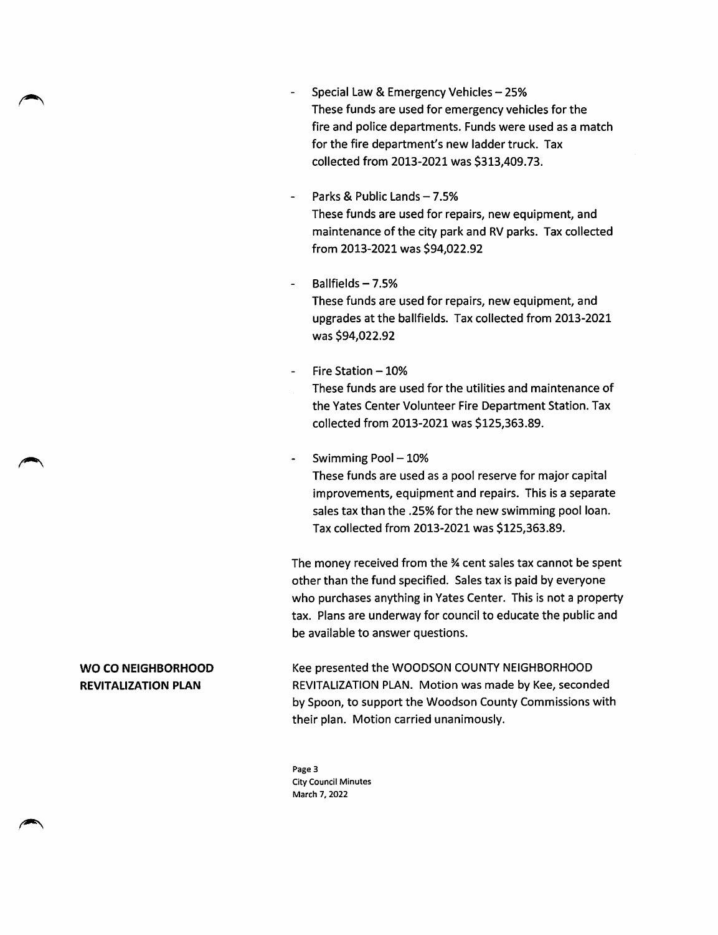- Special Law & Emergency Vehicles 25% These funds are used for emergency vehicles for the fire and police departments. Funds were used as a match for the fire department's new ladder truck. Tax collected from 2013-2021 was \$313,409.73.
- Parks & Public Lands 7.5% These funds are used for repairs, new equipment, and maintenance of the city park and RV parks. Tax collected from 2013-2021 was \$94,022.92
- Ballfields-7.5% These funds are used for repairs, new equipment, and upgrades at the ballfields. Tax collected from 2013-2021 was \$94,022.92
- Fire Station-10%
- These funds are used for the utilities and maintenance of the Yates Center Volunteer Fire Department Station. Tax collected from 2013-2021 was \$125,363.89.
- Swimming Pool  $-10%$

These funds are used as a pool reserve for major capital improvements, equipment and repairs. This is a separate sales tax than the .25% for the new swimming pool loan. Tax collected from 2013-2021 was \$125,363.89.

The money received from the % cent sales tax cannot be spent other than the fund specified. Sales tax is paid by everyone who purchases anything in Yates Center. This is not a property tax. Plans are underway for council to educate the public and be available to answer questions.

WO CO NEIGHBORHOOD REVITALIZATION PLAN

Kee presented the WOODSON COUNTY NEIGHBORHOOD REVITALIZATION PLAN. Motion was made by Kee, seconded by Spoon, to support the Woodson County Commissions with their plan. Motion carried unanimously.

Page 3 City Council Minutes March 7, 2022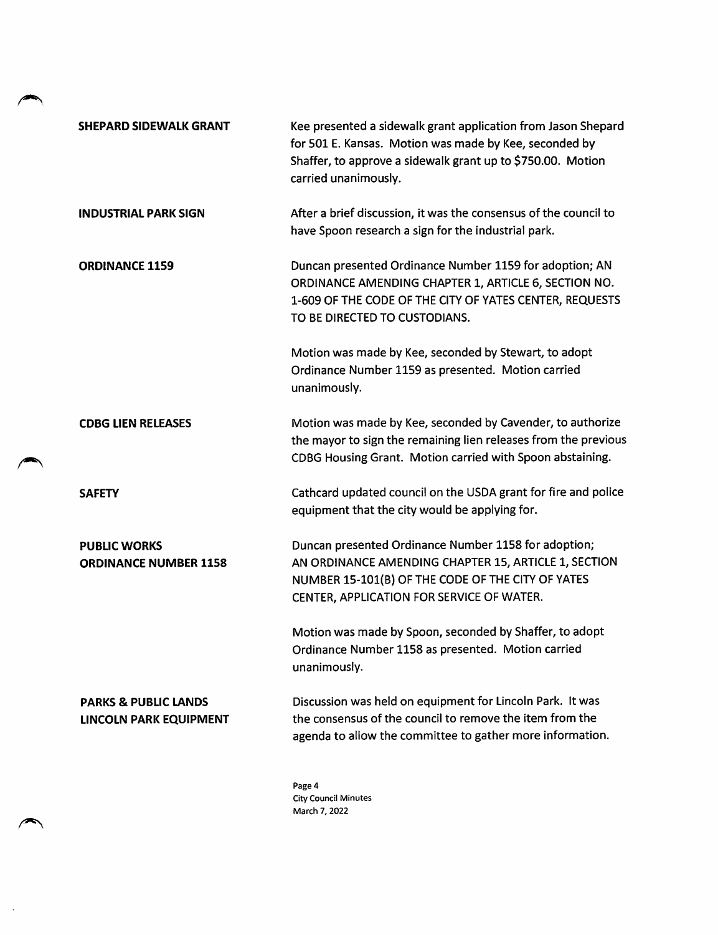| <b>SHEPARD SIDEWALK GRANT</b>                                    | Kee presented a sidewalk grant application from Jason Shepard<br>for 501 E. Kansas. Motion was made by Kee, seconded by<br>Shaffer, to approve a sidewalk grant up to \$750.00. Motion<br>carried unanimously. |
|------------------------------------------------------------------|----------------------------------------------------------------------------------------------------------------------------------------------------------------------------------------------------------------|
| <b>INDUSTRIAL PARK SIGN</b>                                      | After a brief discussion, it was the consensus of the council to<br>have Spoon research a sign for the industrial park.                                                                                        |
| <b>ORDINANCE 1159</b>                                            | Duncan presented Ordinance Number 1159 for adoption; AN<br>ORDINANCE AMENDING CHAPTER 1, ARTICLE 6, SECTION NO.<br>1-609 OF THE CODE OF THE CITY OF YATES CENTER, REQUESTS<br>TO BE DIRECTED TO CUSTODIANS.    |
|                                                                  | Motion was made by Kee, seconded by Stewart, to adopt<br>Ordinance Number 1159 as presented. Motion carried<br>unanimously.                                                                                    |
| <b>CDBG LIEN RELEASES</b>                                        | Motion was made by Kee, seconded by Cavender, to authorize<br>the mayor to sign the remaining lien releases from the previous<br>CDBG Housing Grant. Motion carried with Spoon abstaining.                     |
| <b>SAFETY</b>                                                    | Cathcard updated council on the USDA grant for fire and police<br>equipment that the city would be applying for.                                                                                               |
| <b>PUBLIC WORKS</b><br><b>ORDINANCE NUMBER 1158</b>              | Duncan presented Ordinance Number 1158 for adoption;<br>AN ORDINANCE AMENDING CHAPTER 15, ARTICLE 1, SECTION<br>NUMBER 15-101(B) OF THE CODE OF THE CITY OF YATES<br>CENTER, APPLICATION FOR SERVICE OF WATER. |
|                                                                  | Motion was made by Spoon, seconded by Shaffer, to adopt<br>Ordinance Number 1158 as presented. Motion carried<br>unanimously.                                                                                  |
| <b>PARKS &amp; PUBLIC LANDS</b><br><b>LINCOLN PARK EQUIPMENT</b> | Discussion was held on equipment for Lincoln Park. It was<br>the consensus of the council to remove the item from the<br>agenda to allow the committee to gather more information.                             |

∾

 $\rightarrow$ 

 $\ddot{\phantom{a}}$  .

Page 4 City Council Minutes March 7, 2022